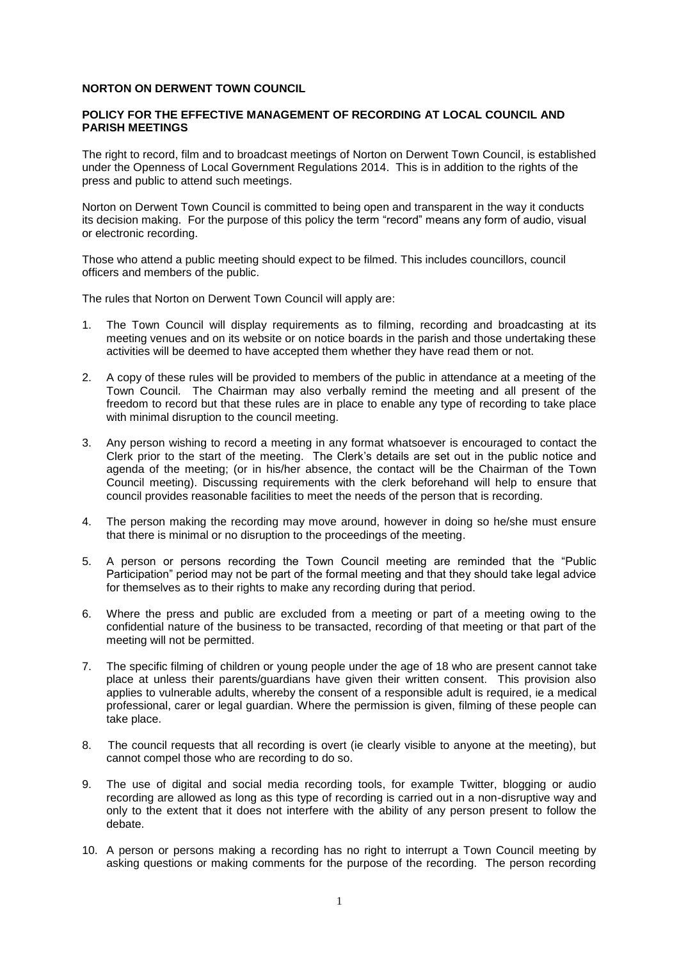## **NORTON ON DERWENT TOWN COUNCIL**

## **POLICY FOR THE EFFECTIVE MANAGEMENT OF RECORDING AT LOCAL COUNCIL AND PARISH MEETINGS**

The right to record, film and to broadcast meetings of Norton on Derwent Town Council, is established under the Openness of Local Government Regulations 2014. This is in addition to the rights of the press and public to attend such meetings.

Norton on Derwent Town Council is committed to being open and transparent in the way it conducts its decision making. For the purpose of this policy the term "record" means any form of audio, visual or electronic recording.

Those who attend a public meeting should expect to be filmed. This includes councillors, council officers and members of the public.

The rules that Norton on Derwent Town Council will apply are:

- 1. The Town Council will display requirements as to filming, recording and broadcasting at its meeting venues and on its website or on notice boards in the parish and those undertaking these activities will be deemed to have accepted them whether they have read them or not.
- 2. A copy of these rules will be provided to members of the public in attendance at a meeting of the Town Council. The Chairman may also verbally remind the meeting and all present of the freedom to record but that these rules are in place to enable any type of recording to take place with minimal disruption to the council meeting.
- 3. Any person wishing to record a meeting in any format whatsoever is encouraged to contact the Clerk prior to the start of the meeting. The Clerk's details are set out in the public notice and agenda of the meeting; (or in his/her absence, the contact will be the Chairman of the Town Council meeting). Discussing requirements with the clerk beforehand will help to ensure that council provides reasonable facilities to meet the needs of the person that is recording.
- 4. The person making the recording may move around, however in doing so he/she must ensure that there is minimal or no disruption to the proceedings of the meeting.
- 5. A person or persons recording the Town Council meeting are reminded that the "Public Participation" period may not be part of the formal meeting and that they should take legal advice for themselves as to their rights to make any recording during that period.
- 6. Where the press and public are excluded from a meeting or part of a meeting owing to the confidential nature of the business to be transacted, recording of that meeting or that part of the meeting will not be permitted.
- 7. The specific filming of children or young people under the age of 18 who are present cannot take place at unless their parents/guardians have given their written consent. This provision also applies to vulnerable adults, whereby the consent of a responsible adult is required, ie a medical professional, carer or legal guardian. Where the permission is given, filming of these people can take place.
- 8. The council requests that all recording is overt (ie clearly visible to anyone at the meeting), but cannot compel those who are recording to do so.
- 9. The use of digital and social media recording tools, for example Twitter, blogging or audio recording are allowed as long as this type of recording is carried out in a non-disruptive way and only to the extent that it does not interfere with the ability of any person present to follow the debate.
- 10. A person or persons making a recording has no right to interrupt a Town Council meeting by asking questions or making comments for the purpose of the recording. The person recording